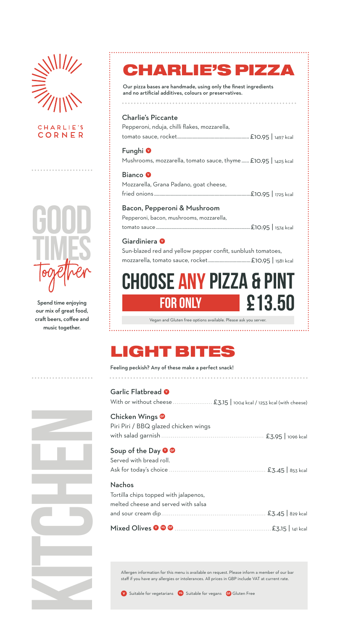



. . . . . . . . . .

Spend time enjoying our mix of great food, craft beers, coffee and music together.

### CHARLIE'S PIZZA

Our pizza bases are handmade, using only the finest ingredients and no artificial additives, colours or preservatives.

#### Charlie's Piccante

Pepperoni, nduja, chilli flakes, mozzarella, tomato sauce, rocket........................................................£10.95 | 1497 kcal

Funghi **<sup>V</sup>** Mushrooms, mozzarella, tomato sauce, thyme......£10.95 | 1425 kcal

Bianco **<sup>V</sup>** Mozzarella, Grana Padano, goat cheese, fried onions ...........................................................................£10.95 | 1725 kcal

#### Bacon, Pepperoni & Mushroom

Pepperoni, bacon, mushrooms, mozzarella, tomato sauce..............................................................................£10.95 | 1574 kcal

#### Giardiniera **<sup>V</sup>**

Sun-blazed red and yellow pepper confit, sunblush tomatoes, mozzarella, tomato sauce, rocket.................................£10.95 | 1581 kcal

# **HOOSE ANY PIZZA & P FOR ONLY £13.50**

Vegan and Gluten free options available. Please ask you server. 

## LIGHT BITES

#### Feeling peckish? Any of these make a perfect snack!

| Garlic Flatbread <sup>O</sup>        |
|--------------------------------------|
| Chicken Wings                        |
| Piri Piri / BBQ glazed chicken wings |
|                                      |

#### Soup of the Day **O**

| Served with bread roll.               |  |  |  |
|---------------------------------------|--|--|--|
|                                       |  |  |  |
| <b>Nachos</b>                         |  |  |  |
| Tortilla chips topped with jalapenos, |  |  |  |
| melted cheese and served with salsa   |  |  |  |
|                                       |  |  |  |
|                                       |  |  |  |

Allergen information for this menu is available on request. Please inform a member of our bar staff if you have any allergies or intolerances. All prices in GBP include VAT at current rate.